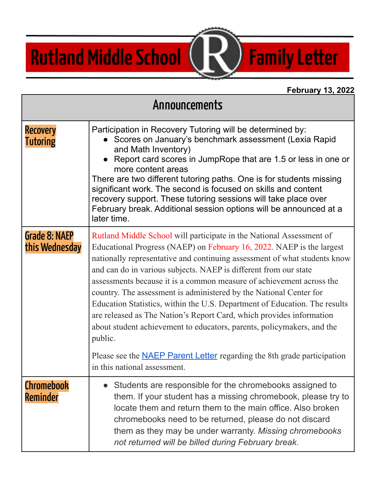## **Rutland Middle School**

## **February 13, 2022**

**Family Letter** 

| Announcements                   |                                                                                                                                                                                                                                                                                                                                                                                                                                                                                                                                                                                                                                                                                         |
|---------------------------------|-----------------------------------------------------------------------------------------------------------------------------------------------------------------------------------------------------------------------------------------------------------------------------------------------------------------------------------------------------------------------------------------------------------------------------------------------------------------------------------------------------------------------------------------------------------------------------------------------------------------------------------------------------------------------------------------|
| <b>Recovery</b><br>Tutoring     | Participation in Recovery Tutoring will be determined by:<br>Scores on January's benchmark assessment (Lexia Rapid<br>and Math Inventory)<br>• Report card scores in JumpRope that are 1.5 or less in one or<br>more content areas<br>There are two different tutoring paths. One is for students missing<br>significant work. The second is focused on skills and content<br>recovery support. These tutoring sessions will take place over<br>February break. Additional session options will be announced at a<br>later time.                                                                                                                                                        |
| Grade 8: NAEP<br>this Wednesday | Rutland Middle School will participate in the National Assessment of<br>Educational Progress (NAEP) on February 16, 2022. NAEP is the largest<br>nationally representative and continuing assessment of what students know<br>and can do in various subjects. NAEP is different from our state<br>assessments because it is a common measure of achievement across the<br>country. The assessment is administered by the National Center for<br>Education Statistics, within the U.S. Department of Education. The results<br>are released as The Nation's Report Card, which provides information<br>about student achievement to educators, parents, policymakers, and the<br>public. |
|                                 | Please see the <b>NAEP</b> Parent Letter regarding the 8th grade participation<br>in this national assessment.                                                                                                                                                                                                                                                                                                                                                                                                                                                                                                                                                                          |
| Chromebook<br>Reminder          | Students are responsible for the chromebooks assigned to<br>them. If your student has a missing chromebook, please try to<br>locate them and return them to the main office. Also broken<br>chromebooks need to be returned, please do not discard<br>them as they may be under warranty. Missing chromebooks<br>not returned will be billed during February break.                                                                                                                                                                                                                                                                                                                     |